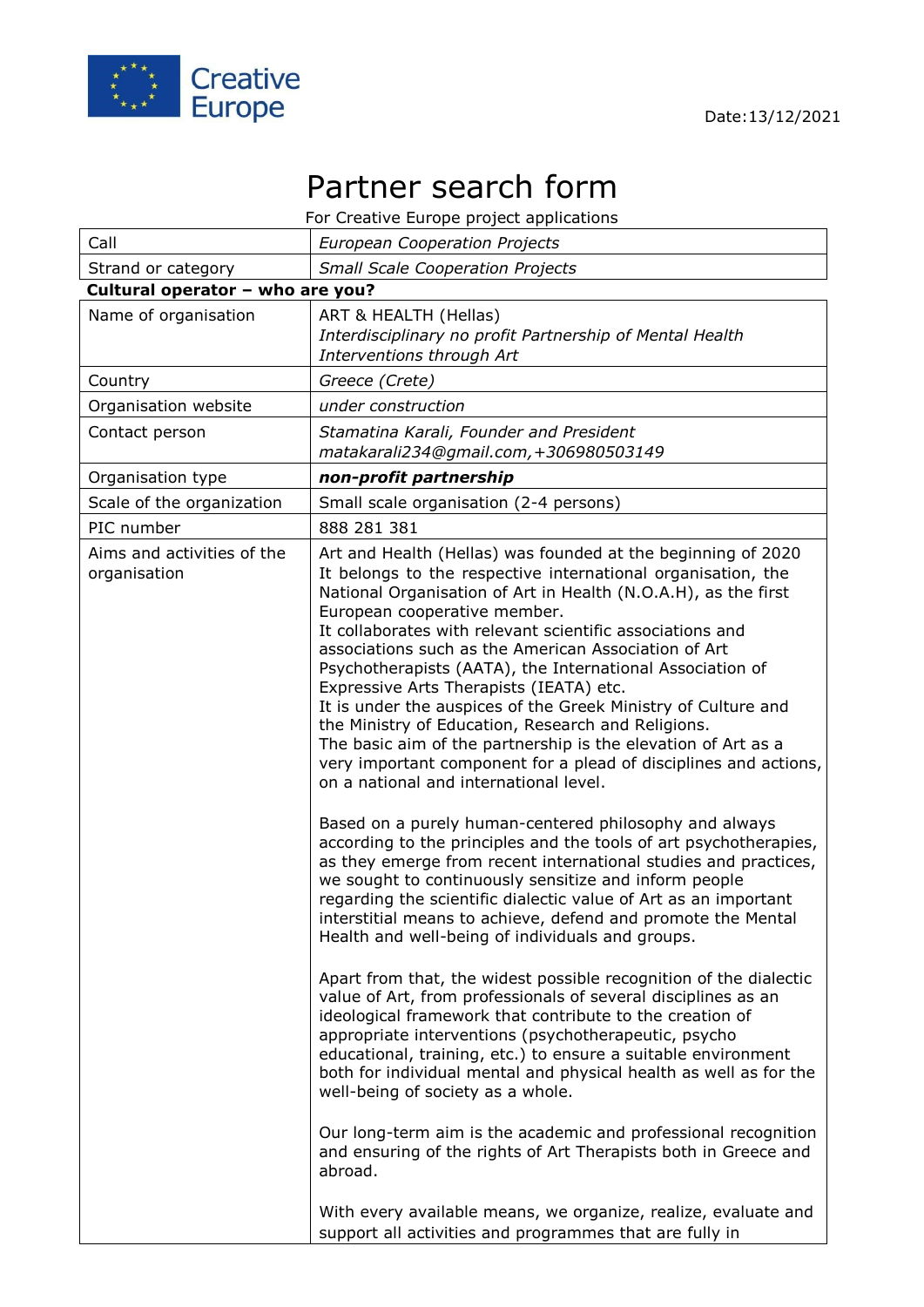

## Partner search form

For Creative Europe project applications

| Call                                       | <b>European Cooperation Projects</b>                                                                                                                                                                                                                                                                                                                                                                                                                                                                                                                                                                                                                                                                                                                                                                                                                                                                                                                                                                                         |
|--------------------------------------------|------------------------------------------------------------------------------------------------------------------------------------------------------------------------------------------------------------------------------------------------------------------------------------------------------------------------------------------------------------------------------------------------------------------------------------------------------------------------------------------------------------------------------------------------------------------------------------------------------------------------------------------------------------------------------------------------------------------------------------------------------------------------------------------------------------------------------------------------------------------------------------------------------------------------------------------------------------------------------------------------------------------------------|
| Strand or category                         | <b>Small Scale Cooperation Projects</b>                                                                                                                                                                                                                                                                                                                                                                                                                                                                                                                                                                                                                                                                                                                                                                                                                                                                                                                                                                                      |
| Cultural operator - who are you?           |                                                                                                                                                                                                                                                                                                                                                                                                                                                                                                                                                                                                                                                                                                                                                                                                                                                                                                                                                                                                                              |
| Name of organisation                       | ART & HEALTH (Hellas)<br>Interdisciplinary no profit Partnership of Mental Health<br>Interventions through Art                                                                                                                                                                                                                                                                                                                                                                                                                                                                                                                                                                                                                                                                                                                                                                                                                                                                                                               |
| Country                                    | Greece (Crete)                                                                                                                                                                                                                                                                                                                                                                                                                                                                                                                                                                                                                                                                                                                                                                                                                                                                                                                                                                                                               |
| Organisation website                       | under construction                                                                                                                                                                                                                                                                                                                                                                                                                                                                                                                                                                                                                                                                                                                                                                                                                                                                                                                                                                                                           |
| Contact person                             | Stamatina Karali, Founder and President<br>matakarali234@gmail.com, +306980503149                                                                                                                                                                                                                                                                                                                                                                                                                                                                                                                                                                                                                                                                                                                                                                                                                                                                                                                                            |
| Organisation type                          | non-profit partnership                                                                                                                                                                                                                                                                                                                                                                                                                                                                                                                                                                                                                                                                                                                                                                                                                                                                                                                                                                                                       |
| Scale of the organization                  | Small scale organisation (2-4 persons)                                                                                                                                                                                                                                                                                                                                                                                                                                                                                                                                                                                                                                                                                                                                                                                                                                                                                                                                                                                       |
| PIC number                                 | 888 281 381                                                                                                                                                                                                                                                                                                                                                                                                                                                                                                                                                                                                                                                                                                                                                                                                                                                                                                                                                                                                                  |
| Aims and activities of the<br>organisation | Art and Health (Hellas) was founded at the beginning of 2020<br>It belongs to the respective international organisation, the<br>National Organisation of Art in Health (N.O.A.H), as the first<br>European cooperative member.<br>It collaborates with relevant scientific associations and<br>associations such as the American Association of Art<br>Psychotherapists (AATA), the International Association of<br>Expressive Arts Therapists (IEATA) etc.<br>It is under the auspices of the Greek Ministry of Culture and<br>the Ministry of Education, Research and Religions.<br>The basic aim of the partnership is the elevation of Art as a<br>very important component for a plead of disciplines and actions,<br>on a national and international level.<br>Based on a purely human-centered philosophy and always<br>according to the principles and the tools of art psychotherapies,<br>as they emerge from recent international studies and practices,<br>we sought to continuously sensitize and inform people |
|                                            | regarding the scientific dialectic value of Art as an important<br>interstitial means to achieve, defend and promote the Mental<br>Health and well-being of individuals and groups.                                                                                                                                                                                                                                                                                                                                                                                                                                                                                                                                                                                                                                                                                                                                                                                                                                          |
|                                            | Apart from that, the widest possible recognition of the dialectic<br>value of Art, from professionals of several disciplines as an<br>ideological framework that contribute to the creation of<br>appropriate interventions (psychotherapeutic, psycho<br>educational, training, etc.) to ensure a suitable environment<br>both for individual mental and physical health as well as for the<br>well-being of society as a whole.                                                                                                                                                                                                                                                                                                                                                                                                                                                                                                                                                                                            |
|                                            | Our long-term aim is the academic and professional recognition<br>and ensuring of the rights of Art Therapists both in Greece and<br>abroad.                                                                                                                                                                                                                                                                                                                                                                                                                                                                                                                                                                                                                                                                                                                                                                                                                                                                                 |
|                                            | With every available means, we organize, realize, evaluate and<br>support all activities and programmes that are fully in                                                                                                                                                                                                                                                                                                                                                                                                                                                                                                                                                                                                                                                                                                                                                                                                                                                                                                    |